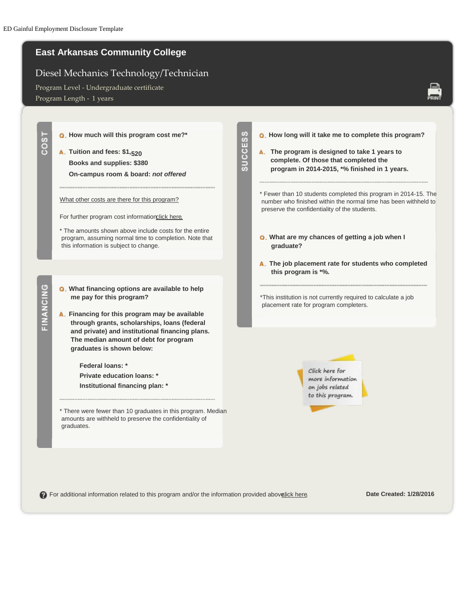